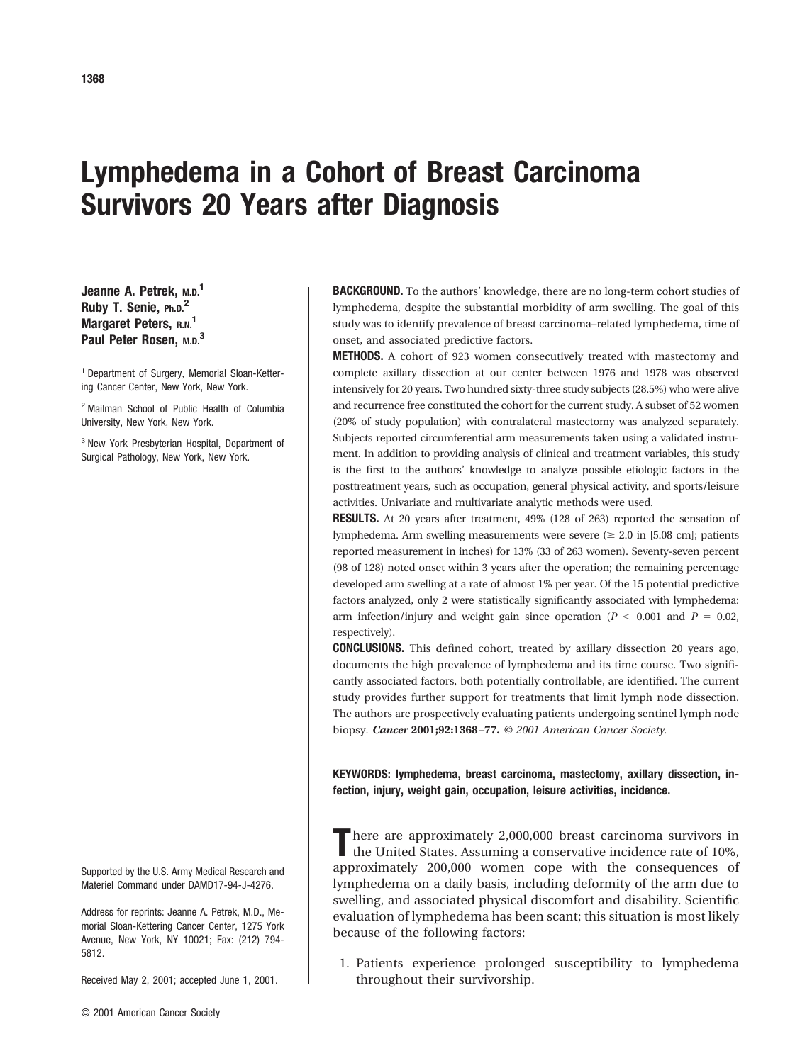# **Lymphedema in a Cohort of Breast Carcinoma Survivors 20 Years after Diagnosis**

**Jeanne A. Petrek, M.D.1 Ruby T. Senie, Ph.D.2 Margaret Peters, R.N.<sup>1</sup> Paul Peter Rosen, M.D.3**

<sup>1</sup> Department of Surgery, Memorial Sloan-Kettering Cancer Center, New York, New York.

<sup>2</sup> Mailman School of Public Health of Columbia University, New York, New York.

<sup>3</sup> New York Presbyterian Hospital, Department of Surgical Pathology, New York, New York.

Supported by the U.S. Army Medical Research and Materiel Command under DAMD17-94-J-4276.

Address for reprints: Jeanne A. Petrek, M.D., Memorial Sloan-Kettering Cancer Center, 1275 York Avenue, New York, NY 10021; Fax: (212) 794- 5812.

Received May 2, 2001; accepted June 1, 2001.

**BACKGROUND.** To the authors' knowledge, there are no long-term cohort studies of lymphedema, despite the substantial morbidity of arm swelling. The goal of this study was to identify prevalence of breast carcinoma–related lymphedema, time of onset, and associated predictive factors.

**METHODS.** A cohort of 923 women consecutively treated with mastectomy and complete axillary dissection at our center between 1976 and 1978 was observed intensively for 20 years. Two hundred sixty-three study subjects (28.5%) who were alive and recurrence free constituted the cohort for the current study. A subset of 52 women (20% of study population) with contralateral mastectomy was analyzed separately. Subjects reported circumferential arm measurements taken using a validated instrument. In addition to providing analysis of clinical and treatment variables, this study is the first to the authors' knowledge to analyze possible etiologic factors in the posttreatment years, such as occupation, general physical activity, and sports/leisure activities. Univariate and multivariate analytic methods were used.

**RESULTS.** At 20 years after treatment, 49% (128 of 263) reported the sensation of lymphedema. Arm swelling measurements were severe  $(\geq 2.0 \text{ in } [5.08 \text{ cm}])$ ; patients reported measurement in inches) for 13% (33 of 263 women). Seventy-seven percent (98 of 128) noted onset within 3 years after the operation; the remaining percentage developed arm swelling at a rate of almost 1% per year. Of the 15 potential predictive factors analyzed, only 2 were statistically significantly associated with lymphedema: arm infection/injury and weight gain since operation ( $P < 0.001$  and  $P = 0.02$ , respectively).

**CONCLUSIONS.** This defined cohort, treated by axillary dissection 20 years ago, documents the high prevalence of lymphedema and its time course. Two significantly associated factors, both potentially controllable, are identified. The current study provides further support for treatments that limit lymph node dissection. The authors are prospectively evaluating patients undergoing sentinel lymph node biopsy. *Cancer* **2001;92:1368 –77.** *© 2001 American Cancer Society.*

**KEYWORDS: lymphedema, breast carcinoma, mastectomy, axillary dissection, infection, injury, weight gain, occupation, leisure activities, incidence.**

There are approximately 2,000,000 breast carcinoma survivors in the United States. Assuming a conservative incidence rate of 10%, approximately 200,000 women cope with the consequences of lymphedema on a daily basis, including deformity of the arm due to swelling, and associated physical discomfort and disability. Scientific evaluation of lymphedema has been scant; this situation is most likely because of the following factors:

1. Patients experience prolonged susceptibility to lymphedema throughout their survivorship.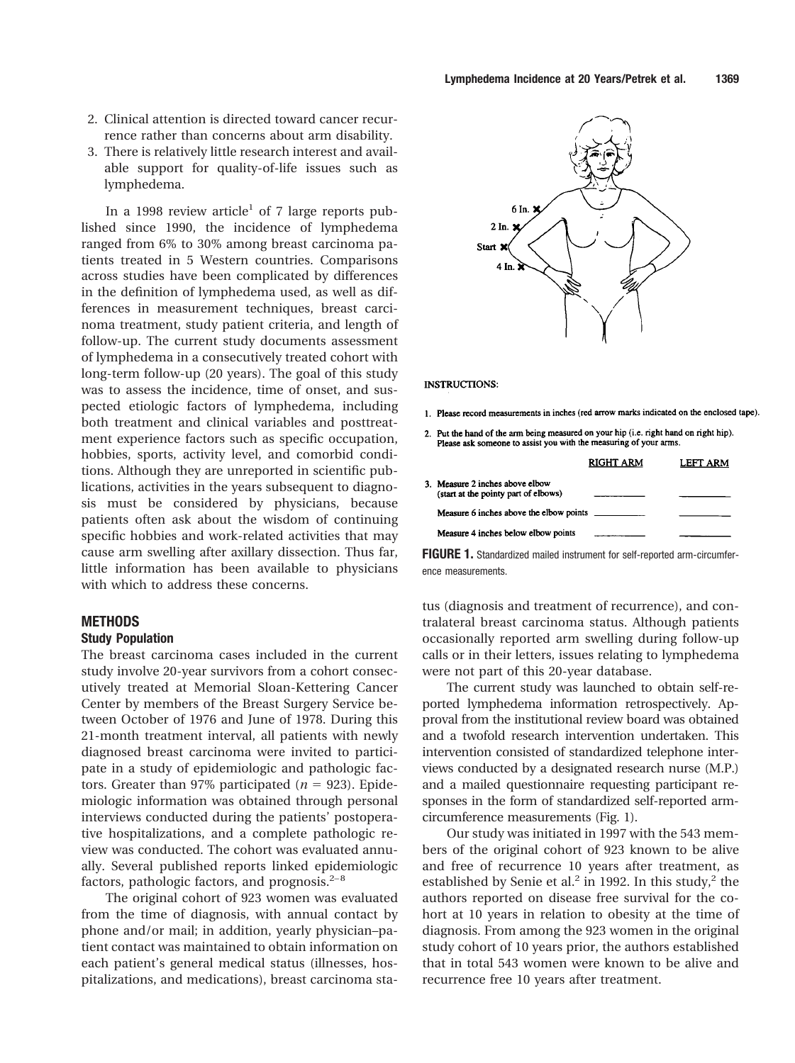- 2. Clinical attention is directed toward cancer recurrence rather than concerns about arm disability.
- 3. There is relatively little research interest and available support for quality-of-life issues such as lymphedema.

In a 1998 review article<sup>1</sup> of 7 large reports published since 1990, the incidence of lymphedema ranged from 6% to 30% among breast carcinoma patients treated in 5 Western countries. Comparisons across studies have been complicated by differences in the definition of lymphedema used, as well as differences in measurement techniques, breast carcinoma treatment, study patient criteria, and length of follow-up. The current study documents assessment of lymphedema in a consecutively treated cohort with long-term follow-up (20 years). The goal of this study was to assess the incidence, time of onset, and suspected etiologic factors of lymphedema, including both treatment and clinical variables and posttreatment experience factors such as specific occupation, hobbies, sports, activity level, and comorbid conditions. Although they are unreported in scientific publications, activities in the years subsequent to diagnosis must be considered by physicians, because patients often ask about the wisdom of continuing specific hobbies and work-related activities that may cause arm swelling after axillary dissection. Thus far, little information has been available to physicians with which to address these concerns.

## **METHODS**

# **Study Population**

The breast carcinoma cases included in the current study involve 20-year survivors from a cohort consecutively treated at Memorial Sloan-Kettering Cancer Center by members of the Breast Surgery Service between October of 1976 and June of 1978. During this 21-month treatment interval, all patients with newly diagnosed breast carcinoma were invited to participate in a study of epidemiologic and pathologic factors. Greater than 97% participated  $(n = 923)$ . Epidemiologic information was obtained through personal interviews conducted during the patients' postoperative hospitalizations, and a complete pathologic review was conducted. The cohort was evaluated annually. Several published reports linked epidemiologic factors, pathologic factors, and prognosis. $2-8$ 

The original cohort of 923 women was evaluated from the time of diagnosis, with annual contact by phone and/or mail; in addition, yearly physician–patient contact was maintained to obtain information on each patient's general medical status (illnesses, hospitalizations, and medications), breast carcinoma sta-



#### **INSTRUCTIONS:**

- 1. Please record measurements in inches (red arrow marks indicated on the enclosed tape).
- 2. Put the hand of the arm being measured on your hip (i.e. right hand on right hip). Please ask someone to assist you with the measuring of your arms.

|                                                                         | RIGHT ARM | LEFT ARM |
|-------------------------------------------------------------------------|-----------|----------|
| 3. Measure 2 inches above elbow<br>(start at the pointy part of elbows) |           |          |
| Measure 6 inches above the elbow points                                 |           |          |
| Measure 4 inches below elbow points                                     |           |          |

**FIGURE 1.** Standardized mailed instrument for self-reported arm-circumference measurements.

tus (diagnosis and treatment of recurrence), and contralateral breast carcinoma status. Although patients occasionally reported arm swelling during follow-up calls or in their letters, issues relating to lymphedema were not part of this 20-year database.

The current study was launched to obtain self-reported lymphedema information retrospectively. Approval from the institutional review board was obtained and a twofold research intervention undertaken. This intervention consisted of standardized telephone interviews conducted by a designated research nurse (M.P.) and a mailed questionnaire requesting participant responses in the form of standardized self-reported armcircumference measurements (Fig. 1).

Our study was initiated in 1997 with the 543 members of the original cohort of 923 known to be alive and free of recurrence 10 years after treatment, as established by Senie et al.<sup>2</sup> in 1992. In this study,<sup>2</sup> the authors reported on disease free survival for the cohort at 10 years in relation to obesity at the time of diagnosis. From among the 923 women in the original study cohort of 10 years prior, the authors established that in total 543 women were known to be alive and recurrence free 10 years after treatment.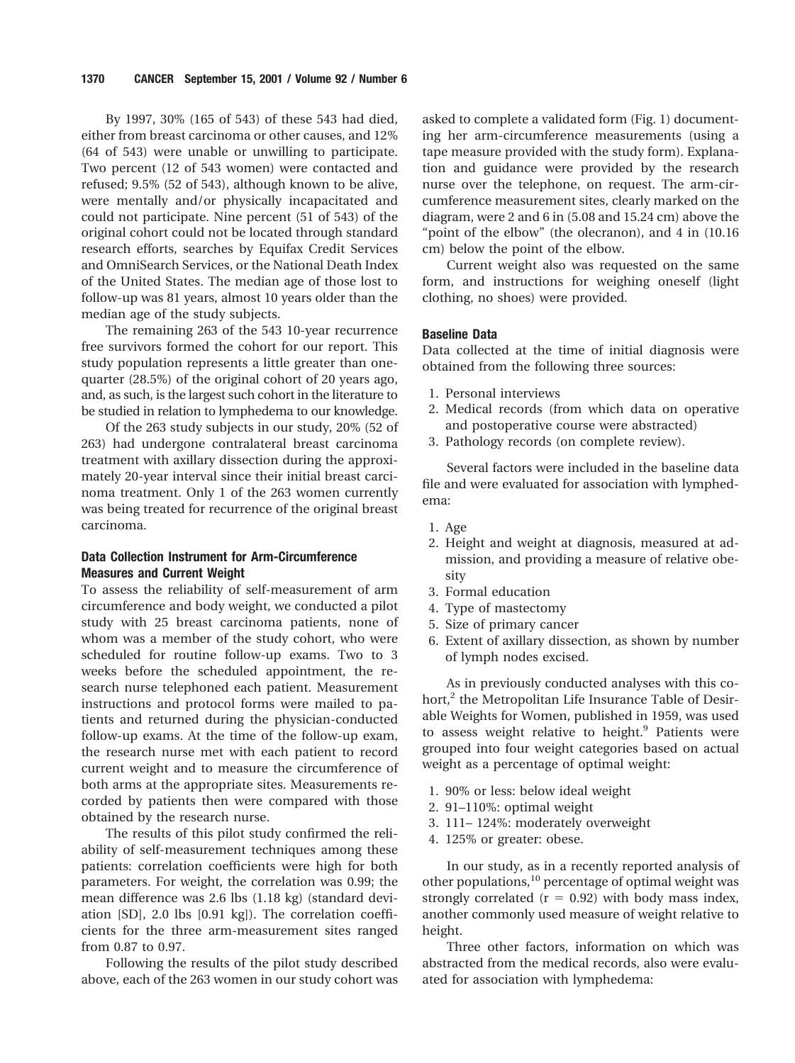By 1997, 30% (165 of 543) of these 543 had died, either from breast carcinoma or other causes, and 12% (64 of 543) were unable or unwilling to participate. Two percent (12 of 543 women) were contacted and refused; 9.5% (52 of 543), although known to be alive, were mentally and/or physically incapacitated and could not participate. Nine percent (51 of 543) of the original cohort could not be located through standard research efforts, searches by Equifax Credit Services and OmniSearch Services, or the National Death Index of the United States. The median age of those lost to follow-up was 81 years, almost 10 years older than the median age of the study subjects.

The remaining 263 of the 543 10-year recurrence free survivors formed the cohort for our report. This study population represents a little greater than onequarter (28.5%) of the original cohort of 20 years ago, and, as such, is the largest such cohort in the literature to be studied in relation to lymphedema to our knowledge.

Of the 263 study subjects in our study, 20% (52 of 263) had undergone contralateral breast carcinoma treatment with axillary dissection during the approximately 20-year interval since their initial breast carcinoma treatment. Only 1 of the 263 women currently was being treated for recurrence of the original breast carcinoma.

# **Data Collection Instrument for Arm-Circumference Measures and Current Weight**

To assess the reliability of self-measurement of arm circumference and body weight, we conducted a pilot study with 25 breast carcinoma patients, none of whom was a member of the study cohort, who were scheduled for routine follow-up exams. Two to 3 weeks before the scheduled appointment, the research nurse telephoned each patient. Measurement instructions and protocol forms were mailed to patients and returned during the physician-conducted follow-up exams. At the time of the follow-up exam, the research nurse met with each patient to record current weight and to measure the circumference of both arms at the appropriate sites. Measurements recorded by patients then were compared with those obtained by the research nurse.

The results of this pilot study confirmed the reliability of self-measurement techniques among these patients: correlation coefficients were high for both parameters. For weight, the correlation was 0.99; the mean difference was 2.6 lbs (1.18 kg) (standard deviation [SD], 2.0 lbs [0.91 kg]). The correlation coefficients for the three arm-measurement sites ranged from 0.87 to 0.97.

Following the results of the pilot study described above, each of the 263 women in our study cohort was

asked to complete a validated form (Fig. 1) documenting her arm-circumference measurements (using a tape measure provided with the study form). Explanation and guidance were provided by the research nurse over the telephone, on request. The arm-circumference measurement sites, clearly marked on the diagram, were 2 and 6 in (5.08 and 15.24 cm) above the "point of the elbow" (the olecranon), and 4 in (10.16 cm) below the point of the elbow.

Current weight also was requested on the same form, and instructions for weighing oneself (light clothing, no shoes) were provided.

# **Baseline Data**

Data collected at the time of initial diagnosis were obtained from the following three sources:

- 1. Personal interviews
- 2. Medical records (from which data on operative and postoperative course were abstracted)
- 3. Pathology records (on complete review).

Several factors were included in the baseline data file and were evaluated for association with lymphedema:

- 1. Age
- 2. Height and weight at diagnosis, measured at admission, and providing a measure of relative obesity
- 3. Formal education
- 4. Type of mastectomy
- 5. Size of primary cancer
- 6. Extent of axillary dissection, as shown by number of lymph nodes excised.

As in previously conducted analyses with this cohort, $2$  the Metropolitan Life Insurance Table of Desirable Weights for Women, published in 1959, was used to assess weight relative to height.<sup>9</sup> Patients were grouped into four weight categories based on actual weight as a percentage of optimal weight:

- 1. 90% or less: below ideal weight
- 2. 91–110%: optimal weight
- 3. 111– 124%: moderately overweight
- 4. 125% or greater: obese.

In our study, as in a recently reported analysis of other populations,<sup>10</sup> percentage of optimal weight was strongly correlated  $(r = 0.92)$  with body mass index, another commonly used measure of weight relative to height.

Three other factors, information on which was abstracted from the medical records, also were evaluated for association with lymphedema: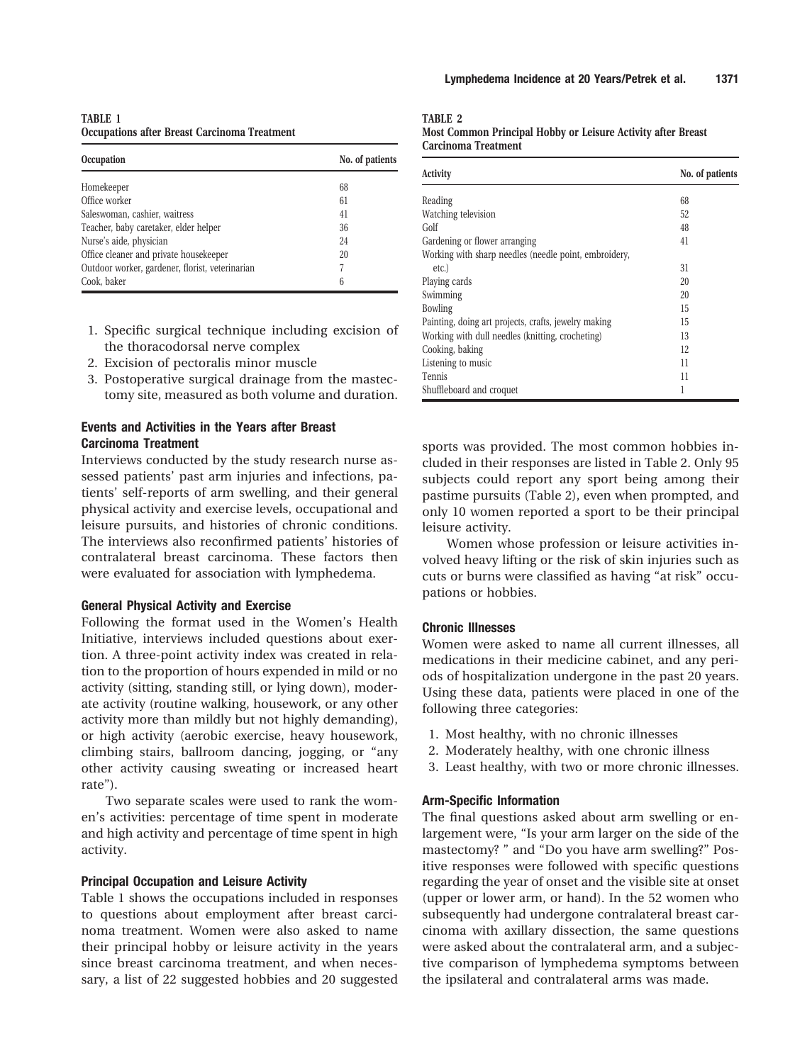**TABLE 1 Occupations after Breast Carcinoma Treatment**

| <b>Occupation</b>                               | No. of patients |
|-------------------------------------------------|-----------------|
| Homekeeper                                      | 68              |
| Office worker                                   | 61              |
| Saleswoman, cashier, waitress                   | 41              |
| Teacher, baby caretaker, elder helper           | 36              |
| Nurse's aide, physician                         | 24              |
| Office cleaner and private housekeeper          | 20              |
| Outdoor worker, gardener, florist, veterinarian | 7               |
| Cook, baker                                     | 6               |

- 1. Specific surgical technique including excision of the thoracodorsal nerve complex
- 2. Excision of pectoralis minor muscle
- 3. Postoperative surgical drainage from the mastectomy site, measured as both volume and duration.

# **Events and Activities in the Years after Breast Carcinoma Treatment**

Interviews conducted by the study research nurse assessed patients' past arm injuries and infections, patients' self-reports of arm swelling, and their general physical activity and exercise levels, occupational and leisure pursuits, and histories of chronic conditions. The interviews also reconfirmed patients' histories of contralateral breast carcinoma. These factors then were evaluated for association with lymphedema.

## **General Physical Activity and Exercise**

Following the format used in the Women's Health Initiative, interviews included questions about exertion. A three-point activity index was created in relation to the proportion of hours expended in mild or no activity (sitting, standing still, or lying down), moderate activity (routine walking, housework, or any other activity more than mildly but not highly demanding), or high activity (aerobic exercise, heavy housework, climbing stairs, ballroom dancing, jogging, or "any other activity causing sweating or increased heart rate").

Two separate scales were used to rank the women's activities: percentage of time spent in moderate and high activity and percentage of time spent in high activity.

#### **Principal Occupation and Leisure Activity**

Table 1 shows the occupations included in responses to questions about employment after breast carcinoma treatment. Women were also asked to name their principal hobby or leisure activity in the years since breast carcinoma treatment, and when necessary, a list of 22 suggested hobbies and 20 suggested **TABLE 2**

| Most Common Principal Hobby or Leisure Activity after Breast |  |  |  |
|--------------------------------------------------------------|--|--|--|
| <b>Carcinoma Treatment</b>                                   |  |  |  |

| <b>Activity</b>                                       | No. of patients |
|-------------------------------------------------------|-----------------|
| Reading                                               | 68              |
| Watching television                                   | 52              |
| Golf                                                  | 48              |
| Gardening or flower arranging                         | 41              |
| Working with sharp needles (needle point, embroidery, |                 |
| etc.                                                  | 31              |
| Playing cards                                         | 20              |
| Swimming                                              | 20              |
| <b>Bowling</b>                                        | 15              |
| Painting, doing art projects, crafts, jewelry making  | 15              |
| Working with dull needles (knitting, crocheting)      | 13              |
| Cooking, baking                                       | 12              |
| Listening to music                                    | 11              |
| <b>Tennis</b>                                         | 11              |
| Shuffleboard and croquet                              | 1               |

sports was provided. The most common hobbies included in their responses are listed in Table 2. Only 95 subjects could report any sport being among their pastime pursuits (Table 2), even when prompted, and only 10 women reported a sport to be their principal leisure activity.

Women whose profession or leisure activities involved heavy lifting or the risk of skin injuries such as cuts or burns were classified as having "at risk" occupations or hobbies.

# **Chronic Illnesses**

Women were asked to name all current illnesses, all medications in their medicine cabinet, and any periods of hospitalization undergone in the past 20 years. Using these data, patients were placed in one of the following three categories:

- 1. Most healthy, with no chronic illnesses
- 2. Moderately healthy, with one chronic illness
- 3. Least healthy, with two or more chronic illnesses.

#### **Arm-Specific Information**

The final questions asked about arm swelling or enlargement were, "Is your arm larger on the side of the mastectomy? " and "Do you have arm swelling?" Positive responses were followed with specific questions regarding the year of onset and the visible site at onset (upper or lower arm, or hand). In the 52 women who subsequently had undergone contralateral breast carcinoma with axillary dissection, the same questions were asked about the contralateral arm, and a subjective comparison of lymphedema symptoms between the ipsilateral and contralateral arms was made.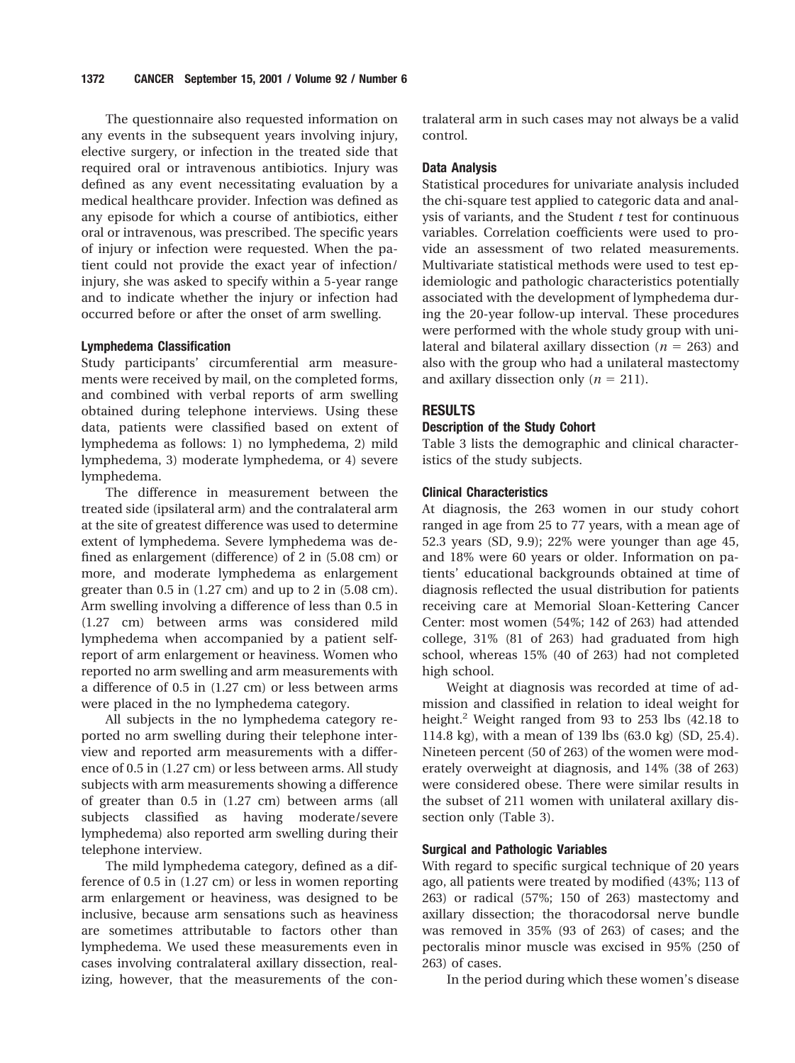The questionnaire also requested information on any events in the subsequent years involving injury, elective surgery, or infection in the treated side that required oral or intravenous antibiotics. Injury was defined as any event necessitating evaluation by a medical healthcare provider. Infection was defined as any episode for which a course of antibiotics, either oral or intravenous, was prescribed. The specific years of injury or infection were requested. When the patient could not provide the exact year of infection/ injury, she was asked to specify within a 5-year range and to indicate whether the injury or infection had occurred before or after the onset of arm swelling.

#### **Lymphedema Classification**

Study participants' circumferential arm measurements were received by mail, on the completed forms, and combined with verbal reports of arm swelling obtained during telephone interviews. Using these data, patients were classified based on extent of lymphedema as follows: 1) no lymphedema, 2) mild lymphedema, 3) moderate lymphedema, or 4) severe lymphedema.

The difference in measurement between the treated side (ipsilateral arm) and the contralateral arm at the site of greatest difference was used to determine extent of lymphedema. Severe lymphedema was defined as enlargement (difference) of 2 in (5.08 cm) or more, and moderate lymphedema as enlargement greater than  $0.5$  in  $(1.27 \text{ cm})$  and up to  $2$  in  $(5.08 \text{ cm})$ . Arm swelling involving a difference of less than 0.5 in (1.27 cm) between arms was considered mild lymphedema when accompanied by a patient selfreport of arm enlargement or heaviness. Women who reported no arm swelling and arm measurements with a difference of 0.5 in (1.27 cm) or less between arms were placed in the no lymphedema category.

All subjects in the no lymphedema category reported no arm swelling during their telephone interview and reported arm measurements with a difference of 0.5 in (1.27 cm) or less between arms. All study subjects with arm measurements showing a difference of greater than 0.5 in (1.27 cm) between arms (all subjects classified as having moderate/severe lymphedema) also reported arm swelling during their telephone interview.

The mild lymphedema category, defined as a difference of 0.5 in (1.27 cm) or less in women reporting arm enlargement or heaviness, was designed to be inclusive, because arm sensations such as heaviness are sometimes attributable to factors other than lymphedema. We used these measurements even in cases involving contralateral axillary dissection, realizing, however, that the measurements of the contralateral arm in such cases may not always be a valid control.

# **Data Analysis**

Statistical procedures for univariate analysis included the chi-square test applied to categoric data and analysis of variants, and the Student *t* test for continuous variables. Correlation coefficients were used to provide an assessment of two related measurements. Multivariate statistical methods were used to test epidemiologic and pathologic characteristics potentially associated with the development of lymphedema during the 20-year follow-up interval. These procedures were performed with the whole study group with unilateral and bilateral axillary dissection ( $n = 263$ ) and also with the group who had a unilateral mastectomy and axillary dissection only  $(n = 211)$ .

# **RESULTS**

## **Description of the Study Cohort**

Table 3 lists the demographic and clinical characteristics of the study subjects.

# **Clinical Characteristics**

At diagnosis, the 263 women in our study cohort ranged in age from 25 to 77 years, with a mean age of 52.3 years (SD, 9.9); 22% were younger than age 45, and 18% were 60 years or older. Information on patients' educational backgrounds obtained at time of diagnosis reflected the usual distribution for patients receiving care at Memorial Sloan-Kettering Cancer Center: most women (54%; 142 of 263) had attended college, 31% (81 of 263) had graduated from high school, whereas 15% (40 of 263) had not completed high school.

Weight at diagnosis was recorded at time of admission and classified in relation to ideal weight for height.<sup>2</sup> Weight ranged from 93 to 253 lbs  $(42.18 \text{ to }$ 114.8 kg), with a mean of 139 lbs (63.0 kg) (SD, 25.4). Nineteen percent (50 of 263) of the women were moderately overweight at diagnosis, and 14% (38 of 263) were considered obese. There were similar results in the subset of 211 women with unilateral axillary dissection only (Table 3).

## **Surgical and Pathologic Variables**

With regard to specific surgical technique of 20 years ago, all patients were treated by modified (43%; 113 of 263) or radical (57%; 150 of 263) mastectomy and axillary dissection; the thoracodorsal nerve bundle was removed in 35% (93 of 263) of cases; and the pectoralis minor muscle was excised in 95% (250 of 263) of cases.

In the period during which these women's disease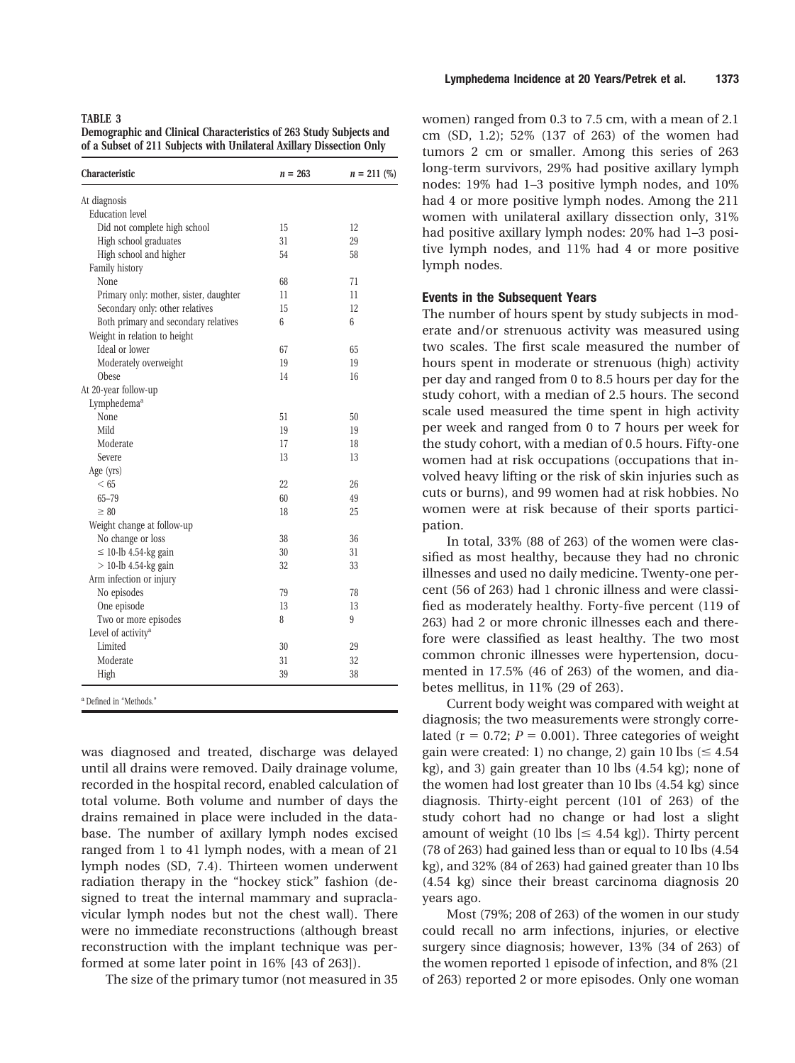**Demographic and Clinical Characteristics of 263 Study Subjects and of a Subset of 211 Subjects with Unilateral Axillary Dissection Only**

| Characteristic                         | $n = 263$ | $n = 211 (%)$ |
|----------------------------------------|-----------|---------------|
| At diagnosis                           |           |               |
| <b>Education</b> level                 |           |               |
| Did not complete high school           | 15        | 12            |
| High school graduates                  | 31        | 29            |
| High school and higher                 | 54        | 58            |
| Family history                         |           |               |
| None                                   | 68        | 71            |
| Primary only: mother, sister, daughter | 11        | 11            |
| Secondary only: other relatives        | 15        | 12            |
| Both primary and secondary relatives   | 6         | 6             |
| Weight in relation to height           |           |               |
| Ideal or lower                         | 67        | 65            |
| Moderately overweight                  | 19        | 19            |
| Obese                                  | 14        | 16            |
| At 20-year follow-up                   |           |               |
| Lymphedema <sup>a</sup>                |           |               |
| None                                   | 51        | 50            |
| Mild                                   | 19        | 19            |
| Moderate                               | 17        | 18            |
| Severe                                 | 13        | 13            |
| Age (yrs)                              |           |               |
| < 65                                   | 22        | 26            |
| 65-79                                  | 60        | 49            |
| $\geq 80$                              | 18        | 25            |
| Weight change at follow-up             |           |               |
| No change or loss                      | 38        | 36            |
| $\leq$ 10-lb 4.54-kg gain              | 30        | 31            |
| $>$ 10-lb 4.54-kg gain                 | 32        | 33            |
| Arm infection or injury                |           |               |
| No episodes                            | 79        | 78            |
| One episode                            | 13        | 13            |
| Two or more episodes                   | 8         | 9             |
| Level of activity <sup>a</sup>         |           |               |
| Limited                                | 30        | 29            |
| Moderate                               | 31        | 32            |
| High                                   | 39        | 38            |
| <sup>a</sup> Defined in "Methods."     |           |               |

was diagnosed and treated, discharge was delayed until all drains were removed. Daily drainage volume, recorded in the hospital record, enabled calculation of total volume. Both volume and number of days the drains remained in place were included in the database. The number of axillary lymph nodes excised ranged from 1 to 41 lymph nodes, with a mean of 21 lymph nodes (SD, 7.4). Thirteen women underwent radiation therapy in the "hockey stick" fashion (designed to treat the internal mammary and supraclavicular lymph nodes but not the chest wall). There were no immediate reconstructions (although breast reconstruction with the implant technique was performed at some later point in 16% [43 of 263]).

The size of the primary tumor (not measured in 35

women) ranged from 0.3 to 7.5 cm, with a mean of 2.1 cm (SD, 1.2); 52% (137 of 263) of the women had tumors 2 cm or smaller. Among this series of 263 long-term survivors, 29% had positive axillary lymph nodes: 19% had 1–3 positive lymph nodes, and 10% had 4 or more positive lymph nodes. Among the 211 women with unilateral axillary dissection only, 31% had positive axillary lymph nodes: 20% had 1–3 positive lymph nodes, and 11% had 4 or more positive lymph nodes.

#### **Events in the Subsequent Years**

The number of hours spent by study subjects in moderate and/or strenuous activity was measured using two scales. The first scale measured the number of hours spent in moderate or strenuous (high) activity per day and ranged from 0 to 8.5 hours per day for the study cohort, with a median of 2.5 hours. The second scale used measured the time spent in high activity per week and ranged from 0 to 7 hours per week for the study cohort, with a median of 0.5 hours. Fifty-one women had at risk occupations (occupations that involved heavy lifting or the risk of skin injuries such as cuts or burns), and 99 women had at risk hobbies. No women were at risk because of their sports participation.

In total, 33% (88 of 263) of the women were classified as most healthy, because they had no chronic illnesses and used no daily medicine. Twenty-one percent (56 of 263) had 1 chronic illness and were classified as moderately healthy. Forty-five percent (119 of 263) had 2 or more chronic illnesses each and therefore were classified as least healthy. The two most common chronic illnesses were hypertension, documented in 17.5% (46 of 263) of the women, and diabetes mellitus, in 11% (29 of 263).

Current body weight was compared with weight at diagnosis; the two measurements were strongly correlated ( $r = 0.72$ ;  $P = 0.001$ ). Three categories of weight gain were created: 1) no change, 2) gain 10 lbs  $(\leq 4.54)$ kg), and 3) gain greater than 10 lbs (4.54 kg); none of the women had lost greater than 10 lbs (4.54 kg) since diagnosis. Thirty-eight percent (101 of 263) of the study cohort had no change or had lost a slight amount of weight (10 lbs  $\leq$  4.54 kg]). Thirty percent (78 of 263) had gained less than or equal to 10 lbs (4.54 kg), and 32% (84 of 263) had gained greater than 10 lbs (4.54 kg) since their breast carcinoma diagnosis 20 years ago.

Most (79%; 208 of 263) of the women in our study could recall no arm infections, injuries, or elective surgery since diagnosis; however, 13% (34 of 263) of the women reported 1 episode of infection, and 8% (21 of 263) reported 2 or more episodes. Only one woman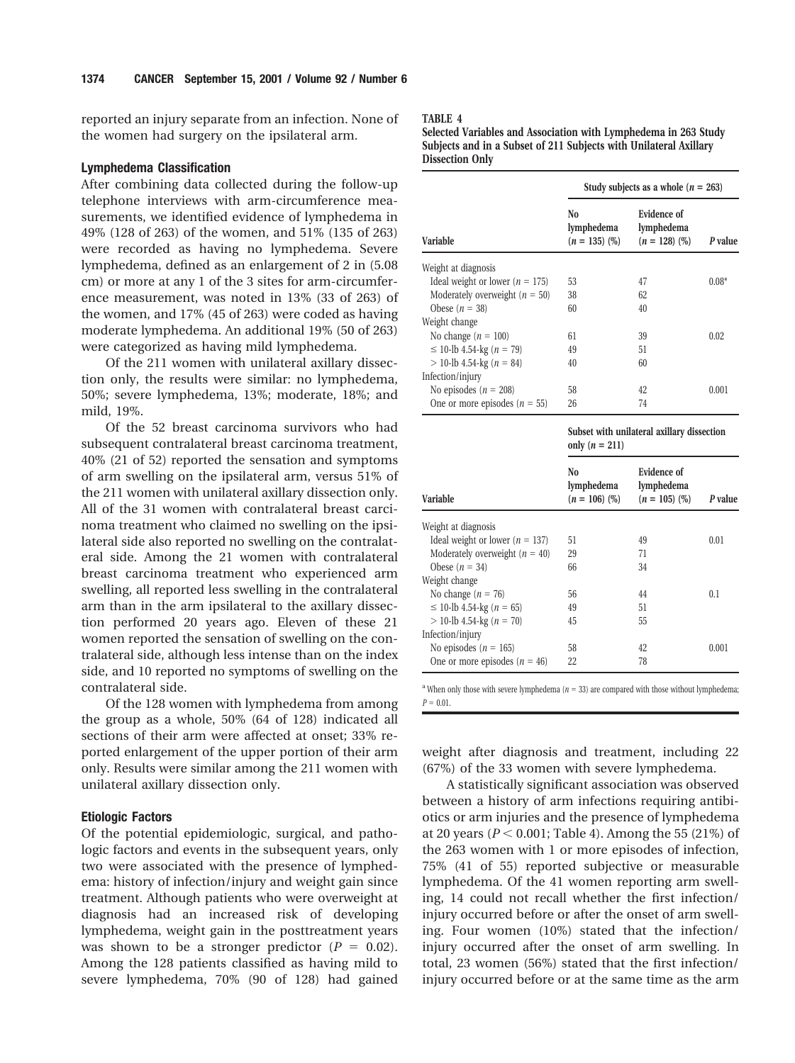reported an injury separate from an infection. None of the women had surgery on the ipsilateral arm.

## **Lymphedema Classification**

After combining data collected during the follow-up telephone interviews with arm-circumference measurements, we identified evidence of lymphedema in 49% (128 of 263) of the women, and 51% (135 of 263) were recorded as having no lymphedema. Severe lymphedema, defined as an enlargement of 2 in (5.08 cm) or more at any 1 of the 3 sites for arm-circumference measurement, was noted in 13% (33 of 263) of the women, and 17% (45 of 263) were coded as having moderate lymphedema. An additional 19% (50 of 263) were categorized as having mild lymphedema.

Of the 211 women with unilateral axillary dissection only, the results were similar: no lymphedema, 50%; severe lymphedema, 13%; moderate, 18%; and mild, 19%.

Of the 52 breast carcinoma survivors who had subsequent contralateral breast carcinoma treatment, 40% (21 of 52) reported the sensation and symptoms of arm swelling on the ipsilateral arm, versus 51% of the 211 women with unilateral axillary dissection only. All of the 31 women with contralateral breast carcinoma treatment who claimed no swelling on the ipsilateral side also reported no swelling on the contralateral side. Among the 21 women with contralateral breast carcinoma treatment who experienced arm swelling, all reported less swelling in the contralateral arm than in the arm ipsilateral to the axillary dissection performed 20 years ago. Eleven of these 21 women reported the sensation of swelling on the contralateral side, although less intense than on the index side, and 10 reported no symptoms of swelling on the contralateral side.

Of the 128 women with lymphedema from among the group as a whole, 50% (64 of 128) indicated all sections of their arm were affected at onset; 33% reported enlargement of the upper portion of their arm only. Results were similar among the 211 women with unilateral axillary dissection only.

## **Etiologic Factors**

Of the potential epidemiologic, surgical, and pathologic factors and events in the subsequent years, only two were associated with the presence of lymphedema: history of infection/injury and weight gain since treatment. Although patients who were overweight at diagnosis had an increased risk of developing lymphedema, weight gain in the posttreatment years was shown to be a stronger predictor  $(P = 0.02)$ . Among the 128 patients classified as having mild to severe lymphedema, 70% (90 of 128) had gained

#### **TABLE 4**

**Selected Variables and Association with Lymphedema in 263 Study Subjects and in a Subset of 211 Subjects with Unilateral Axillary Dissection Only**

|                                       | Study subjects as a whole $(n = 263)$ |                                              |         |  |
|---------------------------------------|---------------------------------------|----------------------------------------------|---------|--|
| Variable                              | No.<br>lymphedema<br>$(n = 135)$ (%)  | Evidence of<br>lymphedema<br>$(n = 128)$ (%) | P value |  |
| Weight at diagnosis                   |                                       |                                              |         |  |
| Ideal weight or lower ( $n = 175$ )   | 53                                    | 47                                           | $0.08*$ |  |
| Moderately overweight ( $n = 50$ )    | 38                                    | 62                                           |         |  |
| Obese $(n = 38)$                      | 60                                    | 40                                           |         |  |
| Weight change                         |                                       |                                              |         |  |
| No change $(n = 100)$                 | 61                                    | 39                                           | 0.02    |  |
| $\leq$ 10-lb 4.54-kg ( <i>n</i> = 79) | 49                                    | 51                                           |         |  |
| $>$ 10-lb 4.54-kg ( $n = 84$ )        | 40                                    | 60                                           |         |  |
| Infection/injury                      |                                       |                                              |         |  |
| No episodes ( $n = 208$ )             | 58                                    | 42                                           | 0.001   |  |
| One or more episodes ( $n = 55$ )     | 26                                    | 74                                           |         |  |

|                                       | Subset with unilateral axillary dissection<br>only $(n = 211)$ |                                                     |         |  |
|---------------------------------------|----------------------------------------------------------------|-----------------------------------------------------|---------|--|
| <b>Variable</b>                       | No<br>lymphedema<br>$(n = 106)$ (%)                            | <b>Evidence of</b><br>lymphedema<br>$(n = 105)$ (%) | P value |  |
| Weight at diagnosis                   |                                                                |                                                     |         |  |
| Ideal weight or lower ( $n = 137$ )   | 51                                                             | 49                                                  | 0.01    |  |
| Moderately overweight $(n = 40)$      | 29                                                             | 71                                                  |         |  |
| Obese $(n = 34)$                      | 66                                                             | 34                                                  |         |  |
| Weight change                         |                                                                |                                                     |         |  |
| No change $(n = 76)$                  | 56                                                             | 44                                                  | 0.1     |  |
| $\leq$ 10-lb 4.54-kg ( <i>n</i> = 65) | 49                                                             | 51                                                  |         |  |
| $>$ 10-lb 4.54-kg ( $n = 70$ )        | 45                                                             | 55                                                  |         |  |
| Infection/injury                      |                                                                |                                                     |         |  |
| No episodes ( $n = 165$ )             | 58                                                             | 42                                                  | 0.001   |  |
| One or more episodes ( $n = 46$ )     | 22                                                             | 78                                                  |         |  |

<sup>a</sup> When only those with severe lymphedema ( $n = 33$ ) are compared with those without lymphedema;  $P = 0.01$ .

weight after diagnosis and treatment, including 22 (67%) of the 33 women with severe lymphedema.

A statistically significant association was observed between a history of arm infections requiring antibiotics or arm injuries and the presence of lymphedema at 20 years ( $P < 0.001$ ; Table 4). Among the 55 (21%) of the 263 women with 1 or more episodes of infection, 75% (41 of 55) reported subjective or measurable lymphedema. Of the 41 women reporting arm swelling, 14 could not recall whether the first infection/ injury occurred before or after the onset of arm swelling. Four women (10%) stated that the infection/ injury occurred after the onset of arm swelling. In total, 23 women (56%) stated that the first infection/ injury occurred before or at the same time as the arm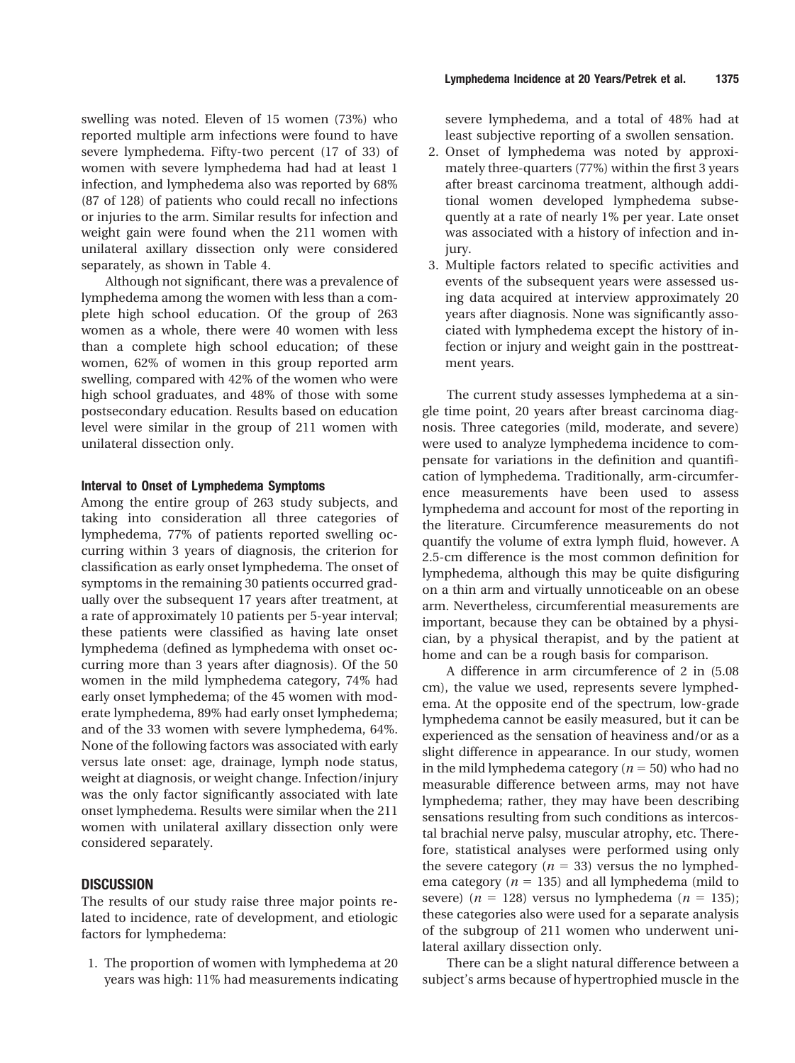swelling was noted. Eleven of 15 women (73%) who reported multiple arm infections were found to have severe lymphedema. Fifty-two percent (17 of 33) of women with severe lymphedema had had at least 1 infection, and lymphedema also was reported by 68% (87 of 128) of patients who could recall no infections or injuries to the arm. Similar results for infection and weight gain were found when the 211 women with unilateral axillary dissection only were considered separately, as shown in Table 4.

Although not significant, there was a prevalence of lymphedema among the women with less than a complete high school education. Of the group of 263 women as a whole, there were 40 women with less than a complete high school education; of these women, 62% of women in this group reported arm swelling, compared with 42% of the women who were high school graduates, and 48% of those with some postsecondary education. Results based on education level were similar in the group of 211 women with unilateral dissection only.

#### **Interval to Onset of Lymphedema Symptoms**

Among the entire group of 263 study subjects, and taking into consideration all three categories of lymphedema, 77% of patients reported swelling occurring within 3 years of diagnosis, the criterion for classification as early onset lymphedema. The onset of symptoms in the remaining 30 patients occurred gradually over the subsequent 17 years after treatment, at a rate of approximately 10 patients per 5-year interval; these patients were classified as having late onset lymphedema (defined as lymphedema with onset occurring more than 3 years after diagnosis). Of the 50 women in the mild lymphedema category, 74% had early onset lymphedema; of the 45 women with moderate lymphedema, 89% had early onset lymphedema; and of the 33 women with severe lymphedema, 64%. None of the following factors was associated with early versus late onset: age, drainage, lymph node status, weight at diagnosis, or weight change. Infection/injury was the only factor significantly associated with late onset lymphedema. Results were similar when the 211 women with unilateral axillary dissection only were considered separately.

## **DISCUSSION**

The results of our study raise three major points related to incidence, rate of development, and etiologic factors for lymphedema:

1. The proportion of women with lymphedema at 20 years was high: 11% had measurements indicating

severe lymphedema, and a total of 48% had at least subjective reporting of a swollen sensation.

- 2. Onset of lymphedema was noted by approximately three-quarters (77%) within the first 3 years after breast carcinoma treatment, although additional women developed lymphedema subsequently at a rate of nearly 1% per year. Late onset was associated with a history of infection and injury.
- 3. Multiple factors related to specific activities and events of the subsequent years were assessed using data acquired at interview approximately 20 years after diagnosis. None was significantly associated with lymphedema except the history of infection or injury and weight gain in the posttreatment years.

The current study assesses lymphedema at a single time point, 20 years after breast carcinoma diagnosis. Three categories (mild, moderate, and severe) were used to analyze lymphedema incidence to compensate for variations in the definition and quantification of lymphedema. Traditionally, arm-circumference measurements have been used to assess lymphedema and account for most of the reporting in the literature. Circumference measurements do not quantify the volume of extra lymph fluid, however. A 2.5-cm difference is the most common definition for lymphedema, although this may be quite disfiguring on a thin arm and virtually unnoticeable on an obese arm. Nevertheless, circumferential measurements are important, because they can be obtained by a physician, by a physical therapist, and by the patient at home and can be a rough basis for comparison.

A difference in arm circumference of 2 in (5.08 cm), the value we used, represents severe lymphedema. At the opposite end of the spectrum, low-grade lymphedema cannot be easily measured, but it can be experienced as the sensation of heaviness and/or as a slight difference in appearance. In our study, women in the mild lymphedema category ( $n = 50$ ) who had no measurable difference between arms, may not have lymphedema; rather, they may have been describing sensations resulting from such conditions as intercostal brachial nerve palsy, muscular atrophy, etc. Therefore, statistical analyses were performed using only the severe category ( $n = 33$ ) versus the no lymphedema category ( $n = 135$ ) and all lymphedema (mild to severe) ( $n = 128$ ) versus no lymphedema ( $n = 135$ ); these categories also were used for a separate analysis of the subgroup of 211 women who underwent unilateral axillary dissection only.

There can be a slight natural difference between a subject's arms because of hypertrophied muscle in the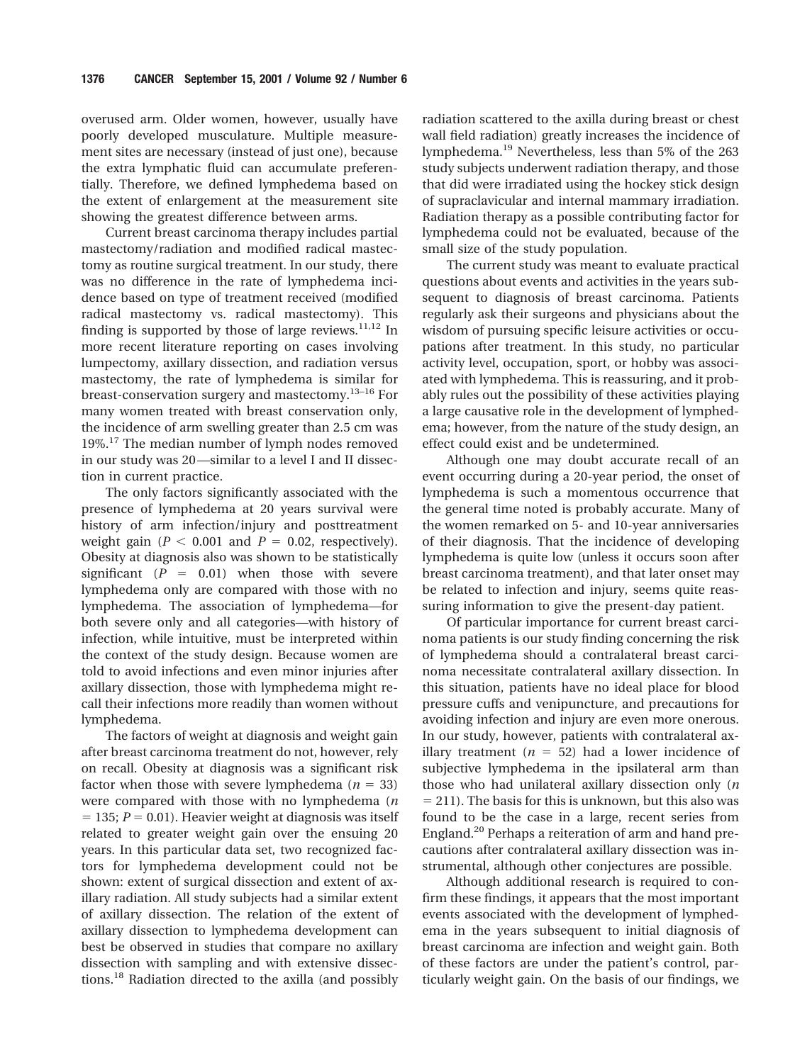overused arm. Older women, however, usually have poorly developed musculature. Multiple measurement sites are necessary (instead of just one), because the extra lymphatic fluid can accumulate preferentially. Therefore, we defined lymphedema based on the extent of enlargement at the measurement site showing the greatest difference between arms.

Current breast carcinoma therapy includes partial mastectomy/radiation and modified radical mastectomy as routine surgical treatment. In our study, there was no difference in the rate of lymphedema incidence based on type of treatment received (modified radical mastectomy vs. radical mastectomy). This finding is supported by those of large reviews. $^{11,12}$  In more recent literature reporting on cases involving lumpectomy, axillary dissection, and radiation versus mastectomy, the rate of lymphedema is similar for breast-conservation surgery and mastectomy.<sup>13-16</sup> For many women treated with breast conservation only, the incidence of arm swelling greater than 2.5 cm was 19%.17 The median number of lymph nodes removed in our study was 20 —similar to a level I and II dissection in current practice.

The only factors significantly associated with the presence of lymphedema at 20 years survival were history of arm infection/injury and posttreatment weight gain ( $P < 0.001$  and  $P = 0.02$ , respectively). Obesity at diagnosis also was shown to be statistically significant  $(P = 0.01)$  when those with severe lymphedema only are compared with those with no lymphedema. The association of lymphedema—for both severe only and all categories—with history of infection, while intuitive, must be interpreted within the context of the study design. Because women are told to avoid infections and even minor injuries after axillary dissection, those with lymphedema might recall their infections more readily than women without lymphedema.

The factors of weight at diagnosis and weight gain after breast carcinoma treatment do not, however, rely on recall. Obesity at diagnosis was a significant risk factor when those with severe lymphedema  $(n = 33)$ were compared with those with no lymphedema (*n*  $= 135$ ;  $P = 0.01$ ). Heavier weight at diagnosis was itself related to greater weight gain over the ensuing 20 years. In this particular data set, two recognized factors for lymphedema development could not be shown: extent of surgical dissection and extent of axillary radiation. All study subjects had a similar extent of axillary dissection. The relation of the extent of axillary dissection to lymphedema development can best be observed in studies that compare no axillary dissection with sampling and with extensive dissections.18 Radiation directed to the axilla (and possibly

radiation scattered to the axilla during breast or chest wall field radiation) greatly increases the incidence of lymphedema.<sup>19</sup> Nevertheless, less than 5% of the 263 study subjects underwent radiation therapy, and those that did were irradiated using the hockey stick design of supraclavicular and internal mammary irradiation. Radiation therapy as a possible contributing factor for lymphedema could not be evaluated, because of the small size of the study population.

The current study was meant to evaluate practical questions about events and activities in the years subsequent to diagnosis of breast carcinoma. Patients regularly ask their surgeons and physicians about the wisdom of pursuing specific leisure activities or occupations after treatment. In this study, no particular activity level, occupation, sport, or hobby was associated with lymphedema. This is reassuring, and it probably rules out the possibility of these activities playing a large causative role in the development of lymphedema; however, from the nature of the study design, an effect could exist and be undetermined.

Although one may doubt accurate recall of an event occurring during a 20-year period, the onset of lymphedema is such a momentous occurrence that the general time noted is probably accurate. Many of the women remarked on 5- and 10-year anniversaries of their diagnosis. That the incidence of developing lymphedema is quite low (unless it occurs soon after breast carcinoma treatment), and that later onset may be related to infection and injury, seems quite reassuring information to give the present-day patient.

Of particular importance for current breast carcinoma patients is our study finding concerning the risk of lymphedema should a contralateral breast carcinoma necessitate contralateral axillary dissection. In this situation, patients have no ideal place for blood pressure cuffs and venipuncture, and precautions for avoiding infection and injury are even more onerous. In our study, however, patients with contralateral axillary treatment  $(n = 52)$  had a lower incidence of subjective lymphedema in the ipsilateral arm than those who had unilateral axillary dissection only (*n*  $= 211$ ). The basis for this is unknown, but this also was found to be the case in a large, recent series from England.20 Perhaps a reiteration of arm and hand precautions after contralateral axillary dissection was instrumental, although other conjectures are possible.

Although additional research is required to confirm these findings, it appears that the most important events associated with the development of lymphedema in the years subsequent to initial diagnosis of breast carcinoma are infection and weight gain. Both of these factors are under the patient's control, particularly weight gain. On the basis of our findings, we